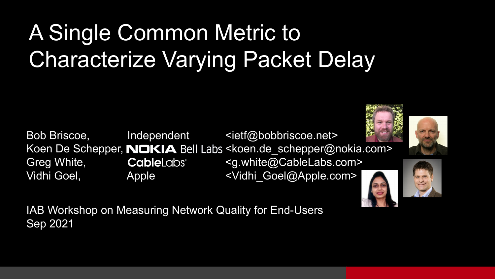## A Single Common Metric to Characterize Varying Packet Delay

Bob Briscoe, lndependent <ietf@bobbriscoe.net> Koen De Schepper, **NOKIA** Bell Labs <koen.de schepper@nokia.com> Greg White, CableLabs<sup>®</sup> <[g.white@CableLabs.com](mailto:g.white@CableLabs.com)> Vidhi Goel, Apple <Vidhi Goel@Apple.com>







IAB Workshop on Measuring Network Quality for End-Users Sep 2021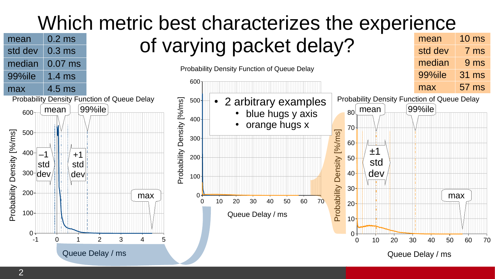### Which metric best characterizes the experience

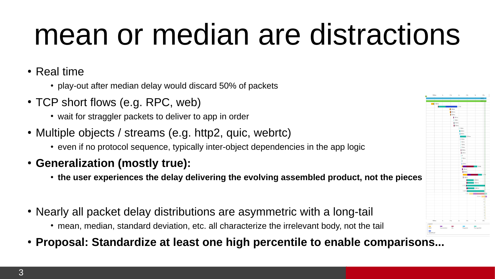## mean or median are distractions

• Real time

- play-out after median delay would discard 50% of packets
- TCP short flows (e.g. RPC, web)
	- wait for straggler packets to deliver to app in order
- Multiple objects / streams (e.g. http2, quic, webrtc)
	- even if no protocol sequence, typically inter-object dependencies in the app logic
- **Generalization (mostly true):**
	- **the user experiences the delay delivering the evolving assembled product, not the pieces**
- Nearly all packet delay distributions are asymmetric with a long-tail
	- mean, median, standard deviation, etc. all characterize the irrelevant body, not the tail
- **Proposal: Standardize at least one high percentile to enable comparisons...**

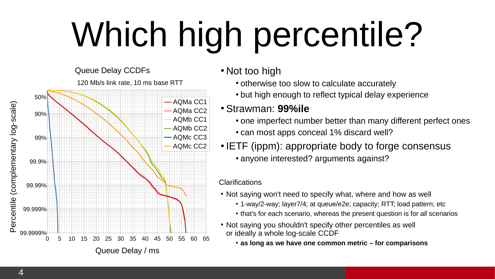# Which high percentile?

Queue Delay CCDFs 120 Mb/s link rate, 10 ms base RTT



- Not too high
	- otherwise too slow to calculate accurately
	- but high enough to reflect typical delay experience

### ● Strawman: **99%ile**

- one imperfect number better than many different perfect ones • can most apps conceal 1% discard well?
- IETF (ippm): appropriate body to forge consensus • anyone interested? arguments against?

#### **Clarifications**

- Not saying won't need to specify what, where and how as well
	- 1-way/2-way; layer7/4; at queue/e2e; capacity; RTT; load pattern; etc
	- that's for each scenario, whereas the present question is for *all* scenarios
- Not saying you shouldn't specify other percentiles as well or ideally a whole log-scale CCDF

• as long as we have one common metric – for comparisons